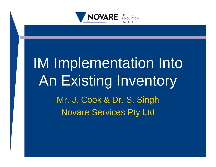

# IM Implementation Into An Existing Inventory Mr. J. Cook & Dr. S. Singh Novare Services Pty Ltd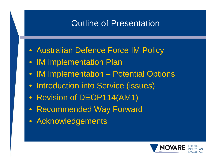#### Outline of Presentation

- Australian Defence Force IM Policy
- IM Implementation Plan
- IM Implementation Potential Options
- Introduction into Service (issues)
- Revision of DEOP114(AM1)
- Recommended Way Forward
- Acknowledgements

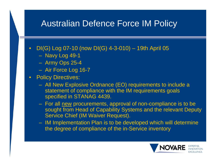#### Australian Defence Force IM Policy

- DI(G) Log 07-10 (now DI(G) 4-3-010) 19th April 05
	- Navy Log 49-1
	- Army Ops 25-4
	- Air Force Log 16-7
- Policy Directives:
	- All New Explosive Ordnance (EO) requirements to include a statement of compliance with the IM requirements goals specified in STANAG 4439.
	- For all new procurements, approval of non-compliance is to be sought from Head of Capability Systems and the relevant Deputy Service Chief (IM Waiver Request).
	- IM Implementation Plan is to be developed which will determine the degree of compliance of the in-Service inventory

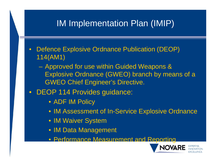# IM Implementation Plan (IMIP)

- Defence Explosive Ordnance Publication (DEOP) 114(AM1)
	- Approved for use within Guided Weapons & Explosive Ordnance (GWEO) branch by means of a GWEO Chief Engineer's Directive.
- DEOP 114 Provides guidance:
	- ADF IM Policy
	- IM Assessment of In-Service Explosive Ordnance
	- **IM Waiver System**
	- IM Data Management
	- Performance Measurement and Reporting

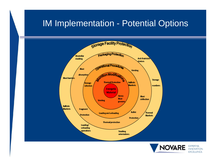#### IM Implementation - Potential Options





**EXPERTISE.** 

**INNOVATION EXCELLENCE.**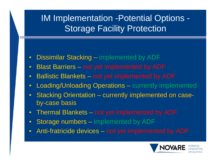# IM Implementation -Potential Options - Storage Facility Protection

- Dissimilar Stacking implemented by ADF
- Blast Barriers not yet implemented by ADF
- Ballistic Blankets not yet implemented by ADF
- Loading/Unloading Operations currently implemented
- Stacking Orientation currently implemented on caseby-case basis
- Thermal Blankets not yet implemented by ADF
- Storage numbers implemented by ADF
- Anti-fratricide devices not yet implemented by ADF

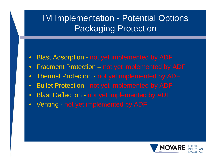# IM Implementation - Potential Options Packaging Protection

- Blast Adsorption not yet implemented by ADF
- Fragment Protection not yet implemented by ADF
- Thermal Protection not yet implemented by ADF
- Bullet Protection not yet implemented by ADF
- Blast Deflection not yet implemented by ADF
- Venting not yet implemented by ADF

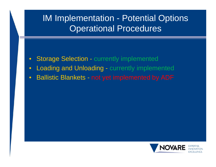#### IM Implementation - Potential Options Operational Procedures

- Storage Selection currently implemented
- Loading and Unloading currently implemented
- Ballistic Blankets not yet implemented by ADF

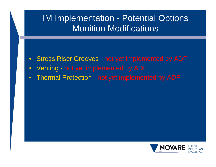#### IM Implementation - Potential Options Munition Modifications

- Stress Riser Grooves not yet implemented by ADF
- Venting not yet implemented by ADF
- Thermal Protection not yet implemented by ADF

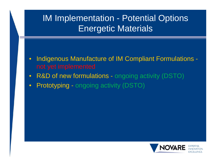# IM Implementation - Potential Options Energetic Materials

- Indigenous Manufacture of IM Compliant Formulations -
- R&D of new formulations ongoing activity (DSTO)
- Prototyping ongoing activity (DSTO)

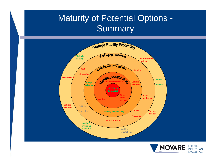#### Maturity of Potential Options - Summary



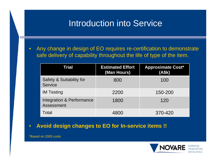#### Introduction into Service

• Any change in design of EO requires re-certification to demonstrate safe delivery of capability throughout the life of type of the item.

| Trial                                      | <b>Estimated Effort</b><br>(Man Hours) | <b>Approximate Cost*</b><br>(A\$k) |
|--------------------------------------------|----------------------------------------|------------------------------------|
| Safety & Suitability for<br><b>Service</b> | 800                                    | 100                                |
| <b>IM Testing</b>                          | 2200                                   | 150-200                            |
| Integration & Performance<br>Assessment    | 1800                                   | 120                                |
| Total                                      | 4800                                   | 370-420                            |

• **Avoid design changes to EO for In-service items !!**

\*Based on 2005 costs

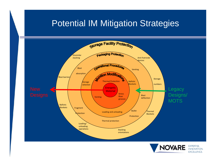#### Potential IM Mitigation Strategies





**EXPERTISE. INNOVATION EXCELLENCE.**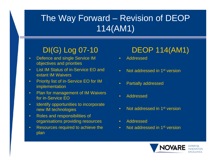# The Way Forward – Revision of DEOP 114(AM1)

#### DI(G) Log 07-10

- Defence and single Service IM objectives and priorities
- List IM Status of in-Service EO and extant IM Waivers
- Priority list of in-Service EO for IM implementation
- Plan for management of IM Waivers for in-Service EO
- Identify opportunities to incorporate new IM technologies
- Roles and responsibilities of organisations providing resources
- Resources required to achieve the plan

#### DEOP 114(AM1)

- Addressed
- Not addressed in 1<sup>st</sup> version
- Partially addressed
- Addressed
- Not addressed in 1<sup>st</sup> version
- Addressed
- Not addressed in 1<sup>st</sup> version

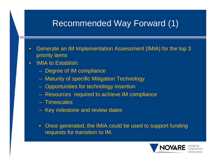#### Recommended Way Forward (1)

- Generate an IM Implementation Assessment (IMIA) for the top 3 priority items
- **IMIA to Establish:** 
	- Degree of IM compliance
	- Maturity of specific Mitigation Technology
	- Opportunities for technology insertion
	- Resources required to achieve IM compliance
	- Timescales
	- Key milestone and review dates
	- Once generated, the IMIA could be used to support funding requests for transition to IM.

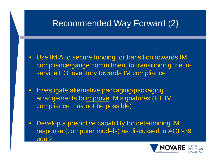# Recommended Way Forward (2)

- Use IMIA to secure funding for transition towards IM compliance/gauge commitment to transitioning the inservice EO inventory towards IM compliance
- Investigate alternative packaging/packaging arrangements to improve IM signatures (full IM compliance may not be possible)
- Develop a predictive capability for determining IM response (computer models) as discussed in AOP-39 edn 2